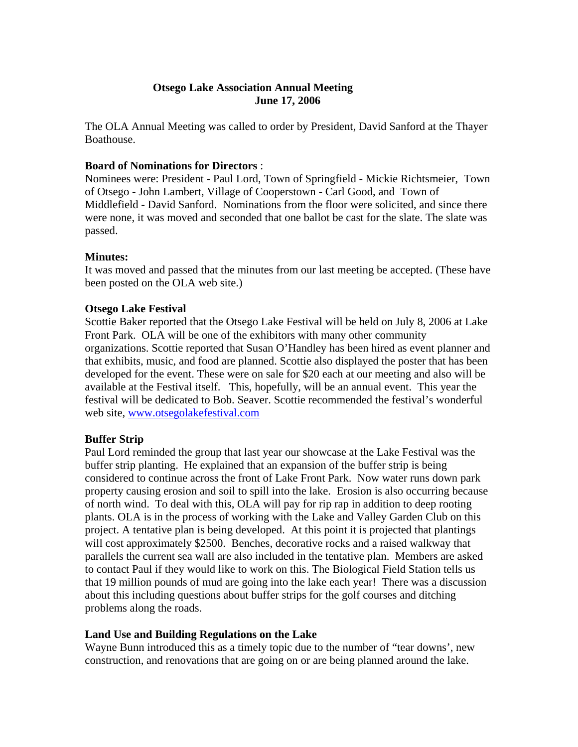## **Otsego Lake Association Annual Meeting June 17, 2006**

The OLA Annual Meeting was called to order by President, David Sanford at the Thayer Boathouse.

#### **Board of Nominations for Directors** :

Nominees were: President - Paul Lord, Town of Springfield - Mickie Richtsmeier, Town of Otsego - John Lambert, Village of Cooperstown - Carl Good, and Town of Middlefield - David Sanford. Nominations from the floor were solicited, and since there were none, it was moved and seconded that one ballot be cast for the slate. The slate was passed.

#### **Minutes:**

It was moved and passed that the minutes from our last meeting be accepted. (These have been posted on the OLA web site.)

#### **Otsego Lake Festival**

Scottie Baker reported that the Otsego Lake Festival will be held on July 8, 2006 at Lake Front Park. OLA will be one of the exhibitors with many other community organizations. Scottie reported that Susan O'Handley has been hired as event planner and that exhibits, music, and food are planned. Scottie also displayed the poster that has been developed for the event. These were on sale for \$20 each at our meeting and also will be available at the Festival itself. This, hopefully, will be an annual event. This year the festival will be dedicated to Bob. Seaver. Scottie recommended the festival's wonderful web site, www.otsegolakefestival.com

## **Buffer Strip**

Paul Lord reminded the group that last year our showcase at the Lake Festival was the buffer strip planting. He explained that an expansion of the buffer strip is being considered to continue across the front of Lake Front Park. Now water runs down park property causing erosion and soil to spill into the lake. Erosion is also occurring because of north wind. To deal with this, OLA will pay for rip rap in addition to deep rooting plants. OLA is in the process of working with the Lake and Valley Garden Club on this project. A tentative plan is being developed. At this point it is projected that plantings will cost approximately \$2500. Benches, decorative rocks and a raised walkway that parallels the current sea wall are also included in the tentative plan. Members are asked to contact Paul if they would like to work on this. The Biological Field Station tells us that 19 million pounds of mud are going into the lake each year! There was a discussion about this including questions about buffer strips for the golf courses and ditching problems along the roads.

## **Land Use and Building Regulations on the Lake**

Wayne Bunn introduced this as a timely topic due to the number of "tear downs', new construction, and renovations that are going on or are being planned around the lake.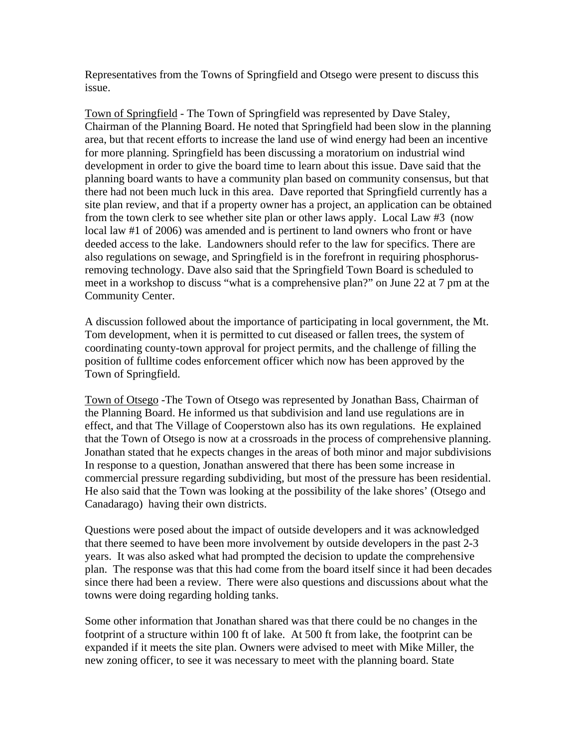Representatives from the Towns of Springfield and Otsego were present to discuss this issue.

Town of Springfield - The Town of Springfield was represented by Dave Staley, Chairman of the Planning Board. He noted that Springfield had been slow in the planning area, but that recent efforts to increase the land use of wind energy had been an incentive for more planning. Springfield has been discussing a moratorium on industrial wind development in order to give the board time to learn about this issue. Dave said that the planning board wants to have a community plan based on community consensus, but that there had not been much luck in this area. Dave reported that Springfield currently has a site plan review, and that if a property owner has a project, an application can be obtained from the town clerk to see whether site plan or other laws apply. Local Law #3 (now local law #1 of 2006) was amended and is pertinent to land owners who front or have deeded access to the lake. Landowners should refer to the law for specifics. There are also regulations on sewage, and Springfield is in the forefront in requiring phosphorusremoving technology. Dave also said that the Springfield Town Board is scheduled to meet in a workshop to discuss "what is a comprehensive plan?" on June 22 at 7 pm at the Community Center.

A discussion followed about the importance of participating in local government, the Mt. Tom development, when it is permitted to cut diseased or fallen trees, the system of coordinating county-town approval for project permits, and the challenge of filling the position of fulltime codes enforcement officer which now has been approved by the Town of Springfield.

Town of Otsego -The Town of Otsego was represented by Jonathan Bass, Chairman of the Planning Board. He informed us that subdivision and land use regulations are in effect, and that The Village of Cooperstown also has its own regulations. He explained that the Town of Otsego is now at a crossroads in the process of comprehensive planning. Jonathan stated that he expects changes in the areas of both minor and major subdivisions In response to a question, Jonathan answered that there has been some increase in commercial pressure regarding subdividing, but most of the pressure has been residential. He also said that the Town was looking at the possibility of the lake shores' (Otsego and Canadarago) having their own districts.

Questions were posed about the impact of outside developers and it was acknowledged that there seemed to have been more involvement by outside developers in the past 2-3 years. It was also asked what had prompted the decision to update the comprehensive plan. The response was that this had come from the board itself since it had been decades since there had been a review. There were also questions and discussions about what the towns were doing regarding holding tanks.

Some other information that Jonathan shared was that there could be no changes in the footprint of a structure within 100 ft of lake. At 500 ft from lake, the footprint can be expanded if it meets the site plan. Owners were advised to meet with Mike Miller, the new zoning officer, to see it was necessary to meet with the planning board. State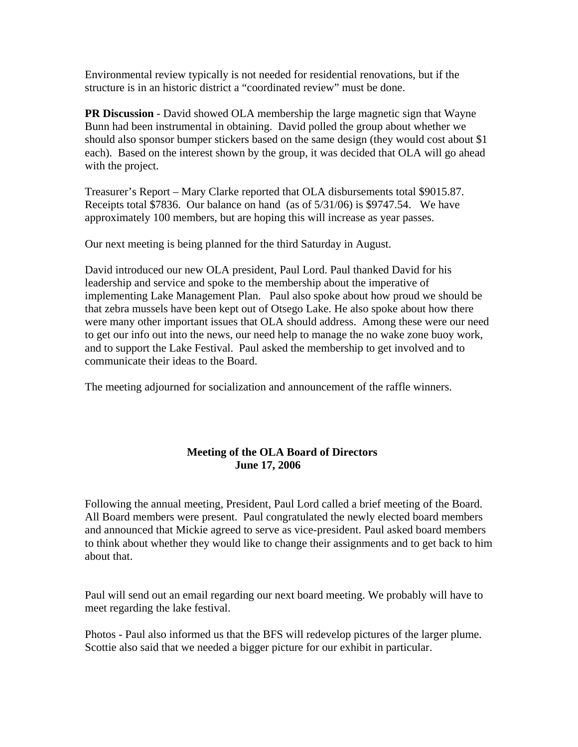Environmental review typically is not needed for residential renovations, but if the structure is in an historic district a "coordinated review" must be done.

**PR Discussion** - David showed OLA membership the large magnetic sign that Wayne Bunn had been instrumental in obtaining. David polled the group about whether we should also sponsor bumper stickers based on the same design (they would cost about \$1 each). Based on the interest shown by the group, it was decided that OLA will go ahead with the project.

Treasurer's Report – Mary Clarke reported that OLA disbursements total \$9015.87. Receipts total \$7836. Our balance on hand (as of 5/31/06) is \$9747.54. We have approximately 100 members, but are hoping this will increase as year passes.

Our next meeting is being planned for the third Saturday in August.

David introduced our new OLA president, Paul Lord. Paul thanked David for his leadership and service and spoke to the membership about the imperative of implementing Lake Management Plan. Paul also spoke about how proud we should be that zebra mussels have been kept out of Otsego Lake. He also spoke about how there were many other important issues that OLA should address. Among these were our need to get our info out into the news, our need help to manage the no wake zone buoy work, and to support the Lake Festival. Paul asked the membership to get involved and to communicate their ideas to the Board.

The meeting adjourned for socialization and announcement of the raffle winners.

# **Meeting of the OLA Board of Directors June 17, 2006**

Following the annual meeting, President, Paul Lord called a brief meeting of the Board. All Board members were present. Paul congratulated the newly elected board members and announced that Mickie agreed to serve as vice-president. Paul asked board members to think about whether they would like to change their assignments and to get back to him about that.

Paul will send out an email regarding our next board meeting. We probably will have to meet regarding the lake festival.

Photos - Paul also informed us that the BFS will redevelop pictures of the larger plume. Scottie also said that we needed a bigger picture for our exhibit in particular.